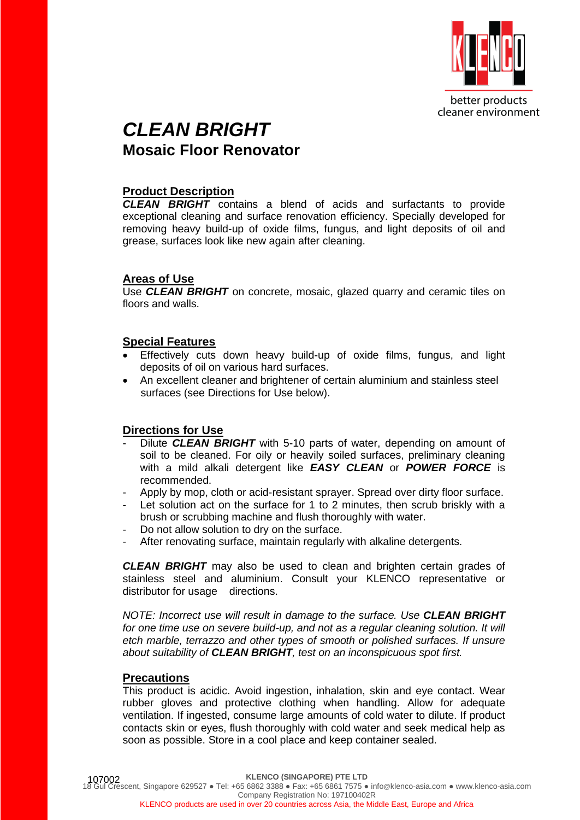

# *CLEAN BRIGHT*  **Mosaic Floor Renovator**

### **Product Description**

*CLEAN BRIGHT* contains a blend of acids and surfactants to provide exceptional cleaning and surface renovation efficiency. Specially developed for removing heavy build-up of oxide films, fungus, and light deposits of oil and grease, surfaces look like new again after cleaning.

#### **Areas of Use**

Use *CLEAN BRIGHT* on concrete, mosaic, glazed quarry and ceramic tiles on floors and walls.

#### **Special Features**

- Effectively cuts down heavy build-up of oxide films, fungus, and light deposits of oil on various hard surfaces.
- An excellent cleaner and brightener of certain aluminium and stainless steel surfaces (see Directions for Use below).

# **Directions for Use**

- Dilute **CLEAN BRIGHT** with 5-10 parts of water, depending on amount of soil to be cleaned. For oily or heavily soiled surfaces, preliminary cleaning with a mild alkali detergent like *EASY CLEAN* or *POWER FORCE* is recommended.
- Apply by mop, cloth or acid-resistant sprayer. Spread over dirty floor surface.
- Let solution act on the surface for 1 to 2 minutes, then scrub briskly with a brush or scrubbing machine and flush thoroughly with water.
- Do not allow solution to dry on the surface.
- After renovating surface, maintain regularly with alkaline detergents.

*CLEAN BRIGHT* may also be used to clean and brighten certain grades of stainless steel and aluminium. Consult your KLENCO representative or distributor for usage directions.

*NOTE: Incorrect use will result in damage to the surface. Use CLEAN BRIGHT* for one time use on severe build-up, and not as a regular cleaning solution. It will *etch marble, terrazzo and other types of smooth or polished surfaces. If unsure about suitability of CLEAN BRIGHT, test on an inconspicuous spot first.*

# **Precautions**

This product is acidic. Avoid ingestion, inhalation, skin and eye contact. Wear rubber gloves and protective clothing when handling. Allow for adequate ventilation. If ingested, consume large amounts of cold water to dilute. If product contacts skin or eyes, flush thoroughly with cold water and seek medical help as soon as possible. Store in a cool place and keep container sealed.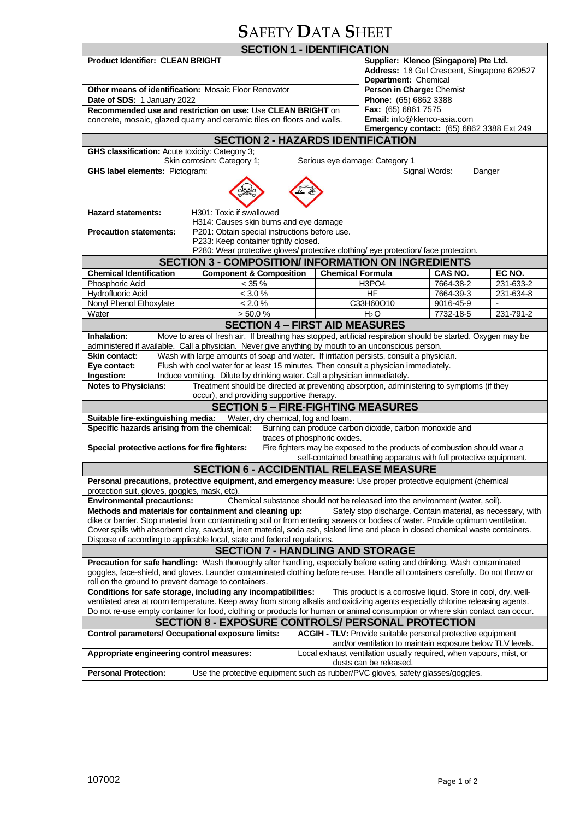# **S**AFETY **D**ATA **S**HEET

| <b>SECTION 1 - IDENTIFICATION</b>                                                                                                                                                                                                                               |                                                                                                     |                         |                                                  |           |           |  |
|-----------------------------------------------------------------------------------------------------------------------------------------------------------------------------------------------------------------------------------------------------------------|-----------------------------------------------------------------------------------------------------|-------------------------|--------------------------------------------------|-----------|-----------|--|
| <b>Product Identifier: CLEAN BRIGHT</b>                                                                                                                                                                                                                         |                                                                                                     |                         | Supplier: Klenco (Singapore) Pte Ltd.            |           |           |  |
|                                                                                                                                                                                                                                                                 |                                                                                                     |                         | Address: 18 Gul Crescent, Singapore 629527       |           |           |  |
|                                                                                                                                                                                                                                                                 |                                                                                                     |                         | Department: Chemical                             |           |           |  |
| Other means of identification: Mosaic Floor Renovator                                                                                                                                                                                                           |                                                                                                     |                         | Person in Charge: Chemist                        |           |           |  |
| Date of SDS: 1 January 2022                                                                                                                                                                                                                                     |                                                                                                     |                         | Phone: (65) 6862 3388                            |           |           |  |
| Recommended use and restriction on use: Use CLEAN BRIGHT on                                                                                                                                                                                                     |                                                                                                     |                         | Fax: (65) 6861 7575                              |           |           |  |
| concrete, mosaic, glazed quarry and ceramic tiles on floors and walls.                                                                                                                                                                                          |                                                                                                     |                         | Email: info@klenco-asia.com                      |           |           |  |
|                                                                                                                                                                                                                                                                 |                                                                                                     |                         | <b>Emergency contact:</b> (65) 6862 3388 Ext 249 |           |           |  |
| <b>SECTION 2 - HAZARDS IDENTIFICATION</b>                                                                                                                                                                                                                       |                                                                                                     |                         |                                                  |           |           |  |
| GHS classification: Acute toxicity: Category 3;<br>Skin corrosion: Category 1;<br>Serious eye damage: Category 1                                                                                                                                                |                                                                                                     |                         |                                                  |           |           |  |
| Signal Words:<br><b>GHS label elements: Pictogram:</b><br>Danger                                                                                                                                                                                                |                                                                                                     |                         |                                                  |           |           |  |
|                                                                                                                                                                                                                                                                 |                                                                                                     |                         |                                                  |           |           |  |
|                                                                                                                                                                                                                                                                 |                                                                                                     |                         |                                                  |           |           |  |
|                                                                                                                                                                                                                                                                 |                                                                                                     |                         |                                                  |           |           |  |
| <b>Hazard statements:</b>                                                                                                                                                                                                                                       | H301: Toxic if swallowed                                                                            |                         |                                                  |           |           |  |
| H314: Causes skin burns and eye damage                                                                                                                                                                                                                          |                                                                                                     |                         |                                                  |           |           |  |
| <b>Precaution statements:</b>                                                                                                                                                                                                                                   | P201: Obtain special instructions before use.                                                       |                         |                                                  |           |           |  |
|                                                                                                                                                                                                                                                                 | P233: Keep container tightly closed.                                                                |                         |                                                  |           |           |  |
|                                                                                                                                                                                                                                                                 | P280: Wear protective gloves/ protective clothing/ eye protection/ face protection.                 |                         |                                                  |           |           |  |
|                                                                                                                                                                                                                                                                 | <b>SECTION 3 - COMPOSITION/ INFORMATION ON INGREDIENTS</b>                                          |                         |                                                  |           |           |  |
| <b>Chemical Identification</b>                                                                                                                                                                                                                                  | <b>Component &amp; Composition</b>                                                                  | <b>Chemical Formula</b> |                                                  | CAS NO.   | EC NO.    |  |
| Phosphoric Acid                                                                                                                                                                                                                                                 | $< 35 \%$                                                                                           |                         | H3PO4                                            | 7664-38-2 | 231-633-2 |  |
| <b>Hydrofluoric Acid</b>                                                                                                                                                                                                                                        | < 3.0 %                                                                                             |                         | HF                                               | 7664-39-3 | 231-634-8 |  |
| Nonyl Phenol Ethoxylate                                                                                                                                                                                                                                         | $< 2.0 \%$                                                                                          |                         | C33H60O10                                        | 9016-45-9 |           |  |
| Water                                                                                                                                                                                                                                                           | > 50.0 %                                                                                            |                         | $H_2O$                                           | 7732-18-5 | 231-791-2 |  |
|                                                                                                                                                                                                                                                                 | <b>SECTION 4 - FIRST AID MEASURES</b>                                                               |                         |                                                  |           |           |  |
| Move to area of fresh air. If breathing has stopped, artificial respiration should be started. Oxygen may be<br>Inhalation:                                                                                                                                     |                                                                                                     |                         |                                                  |           |           |  |
|                                                                                                                                                                                                                                                                 | administered if available. Call a physician. Never give anything by mouth to an unconscious person. |                         |                                                  |           |           |  |
| <b>Skin contact:</b>                                                                                                                                                                                                                                            | Wash with large amounts of soap and water. If irritation persists, consult a physician.             |                         |                                                  |           |           |  |
| Flush with cool water for at least 15 minutes. Then consult a physician immediately.<br>Eye contact:                                                                                                                                                            |                                                                                                     |                         |                                                  |           |           |  |
| Ingestion:<br>Induce vomiting. Dilute by drinking water. Call a physician immediately.                                                                                                                                                                          |                                                                                                     |                         |                                                  |           |           |  |
| Treatment should be directed at preventing absorption, administering to symptoms (if they<br><b>Notes to Physicians:</b>                                                                                                                                        |                                                                                                     |                         |                                                  |           |           |  |
| occur), and providing supportive therapy.                                                                                                                                                                                                                       |                                                                                                     |                         |                                                  |           |           |  |
| <b>SECTION 5 - FIRE-FIGHTING MEASURES</b>                                                                                                                                                                                                                       |                                                                                                     |                         |                                                  |           |           |  |
| Suitable fire-extinguishing media:<br>Water, dry chemical, fog and foam.                                                                                                                                                                                        |                                                                                                     |                         |                                                  |           |           |  |
| Specific hazards arising from the chemical:<br>Burning can produce carbon dioxide, carbon monoxide and                                                                                                                                                          |                                                                                                     |                         |                                                  |           |           |  |
| traces of phosphoric oxides.<br>Special protective actions for fire fighters:<br>Fire fighters may be exposed to the products of combustion should wear a                                                                                                       |                                                                                                     |                         |                                                  |           |           |  |
| self-contained breathing apparatus with full protective equipment.                                                                                                                                                                                              |                                                                                                     |                         |                                                  |           |           |  |
| <b>SECTION 6 - ACCIDENTIAL RELEASE MEASURE</b>                                                                                                                                                                                                                  |                                                                                                     |                         |                                                  |           |           |  |
| <b>Personal precautions, protective equipment, and emergency measure:</b> Use proper protective equipment (chemical                                                                                                                                             |                                                                                                     |                         |                                                  |           |           |  |
| protection suit, gloves, goggles, mask, etc).                                                                                                                                                                                                                   |                                                                                                     |                         |                                                  |           |           |  |
| <b>Environmental precautions:</b><br>Chemical substance should not be released into the environment (water, soil).                                                                                                                                              |                                                                                                     |                         |                                                  |           |           |  |
| Methods and materials for containment and cleaning up:<br>Safely stop discharge. Contain material, as necessary, with                                                                                                                                           |                                                                                                     |                         |                                                  |           |           |  |
| dike or barrier. Stop material from contaminating soil or from entering sewers or bodies of water. Provide optimum ventilation.                                                                                                                                 |                                                                                                     |                         |                                                  |           |           |  |
| Cover spills with absorbent clay, sawdust, inert material, soda ash, slaked lime and place in closed chemical waste containers.                                                                                                                                 |                                                                                                     |                         |                                                  |           |           |  |
| Dispose of according to applicable local, state and federal regulations.                                                                                                                                                                                        |                                                                                                     |                         |                                                  |           |           |  |
| <b>SECTION 7 - HANDLING AND STORAGE</b>                                                                                                                                                                                                                         |                                                                                                     |                         |                                                  |           |           |  |
| Precaution for safe handling: Wash thoroughly after handling, especially before eating and drinking. Wash contaminated                                                                                                                                          |                                                                                                     |                         |                                                  |           |           |  |
| goggles, face-shield, and gloves. Launder contaminated clothing before re-use. Handle all containers carefully. Do not throw or                                                                                                                                 |                                                                                                     |                         |                                                  |           |           |  |
| roll on the ground to prevent damage to containers.                                                                                                                                                                                                             |                                                                                                     |                         |                                                  |           |           |  |
| Conditions for safe storage, including any incompatibilities:<br>This product is a corrosive liquid. Store in cool, dry, well-<br>ventilated area at room temperature. Keep away from strong alkalis and oxidizing agents especially chlorine releasing agents. |                                                                                                     |                         |                                                  |           |           |  |
| Do not re-use empty container for food, clothing or products for human or animal consumption or where skin contact can occur.                                                                                                                                   |                                                                                                     |                         |                                                  |           |           |  |
|                                                                                                                                                                                                                                                                 |                                                                                                     |                         |                                                  |           |           |  |
| <b>SECTION 8 - EXPOSURE CONTROLS/ PERSONAL PROTECTION</b>                                                                                                                                                                                                       |                                                                                                     |                         |                                                  |           |           |  |
| Control parameters/ Occupational exposure limits:<br>ACGIH - TLV: Provide suitable personal protective equipment<br>and/or ventilation to maintain exposure below TLV levels.                                                                                   |                                                                                                     |                         |                                                  |           |           |  |
| Local exhaust ventilation usually required, when vapours, mist, or<br>Appropriate engineering control measures:                                                                                                                                                 |                                                                                                     |                         |                                                  |           |           |  |
| dusts can be released.                                                                                                                                                                                                                                          |                                                                                                     |                         |                                                  |           |           |  |
| <b>Personal Protection:</b><br>Use the protective equipment such as rubber/PVC gloves, safety glasses/goggles.                                                                                                                                                  |                                                                                                     |                         |                                                  |           |           |  |
|                                                                                                                                                                                                                                                                 |                                                                                                     |                         |                                                  |           |           |  |